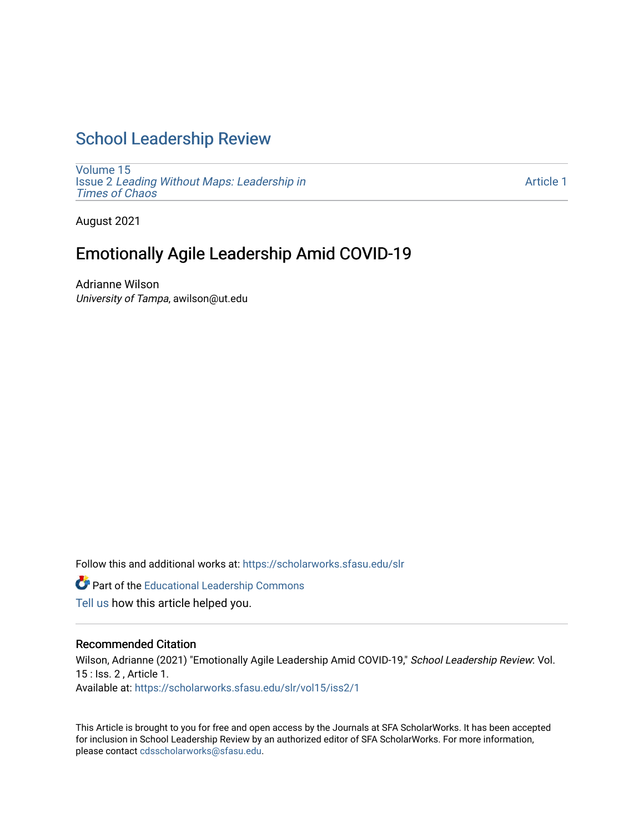# [School Leadership Review](https://scholarworks.sfasu.edu/slr)

[Volume 15](https://scholarworks.sfasu.edu/slr/vol15) Issue 2 [Leading Without Maps: Leadership in](https://scholarworks.sfasu.edu/slr/vol15/iss2) [Times of Chaos](https://scholarworks.sfasu.edu/slr/vol15/iss2) 

[Article 1](https://scholarworks.sfasu.edu/slr/vol15/iss2/1) 

August 2021

# Emotionally Agile Leadership Amid COVID-19

Adrianne Wilson University of Tampa, awilson@ut.edu

Follow this and additional works at: [https://scholarworks.sfasu.edu/slr](https://scholarworks.sfasu.edu/slr?utm_source=scholarworks.sfasu.edu%2Fslr%2Fvol15%2Fiss2%2F1&utm_medium=PDF&utm_campaign=PDFCoverPages) 

Part of the [Educational Leadership Commons](http://network.bepress.com/hgg/discipline/1230?utm_source=scholarworks.sfasu.edu%2Fslr%2Fvol15%2Fiss2%2F1&utm_medium=PDF&utm_campaign=PDFCoverPages) 

[Tell us](http://sfasu.qualtrics.com/SE/?SID=SV_0qS6tdXftDLradv) how this article helped you.

#### Recommended Citation

Wilson, Adrianne (2021) "Emotionally Agile Leadership Amid COVID-19," School Leadership Review: Vol. 15 : Iss. 2 , Article 1. Available at: [https://scholarworks.sfasu.edu/slr/vol15/iss2/1](https://scholarworks.sfasu.edu/slr/vol15/iss2/1?utm_source=scholarworks.sfasu.edu%2Fslr%2Fvol15%2Fiss2%2F1&utm_medium=PDF&utm_campaign=PDFCoverPages)

This Article is brought to you for free and open access by the Journals at SFA ScholarWorks. It has been accepted for inclusion in School Leadership Review by an authorized editor of SFA ScholarWorks. For more information, please contact [cdsscholarworks@sfasu.edu.](mailto:cdsscholarworks@sfasu.edu)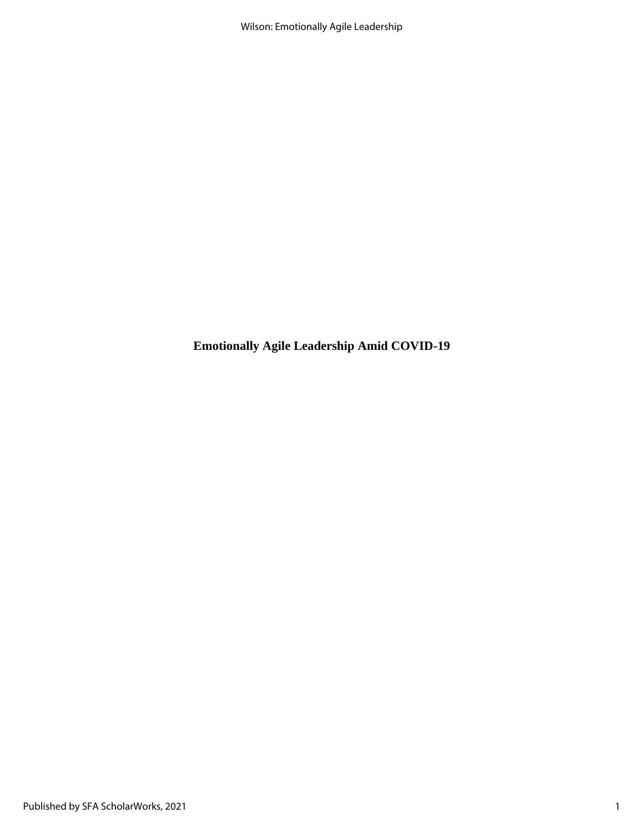**Emotionally Agile Leadership Amid COVID-19**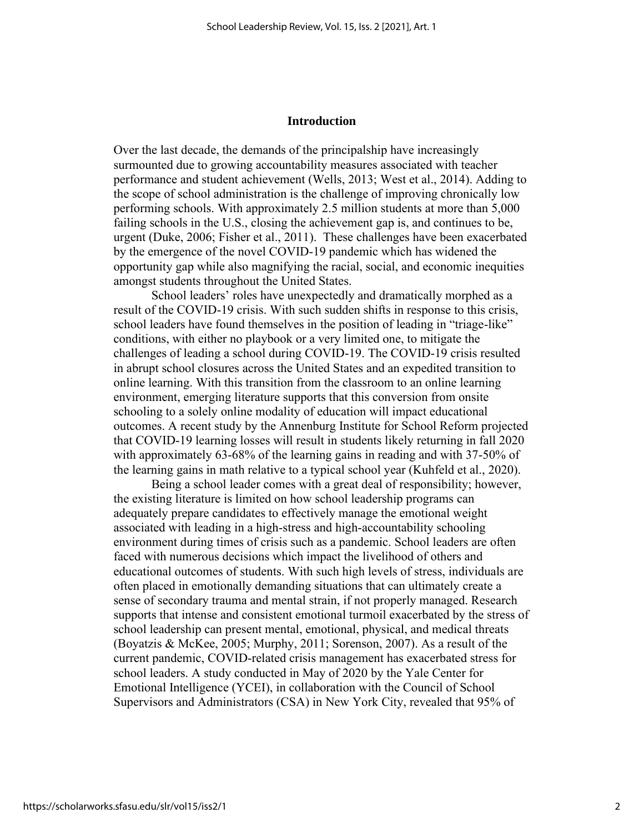#### **Introduction**

Over the last decade, the demands of the principalship have increasingly surmounted due to growing accountability measures associated with teacher performance and student achievement (Wells, 2013; West et al., 2014). Adding to the scope of school administration is the challenge of improving chronically low performing schools. With approximately 2.5 million students at more than 5,000 failing schools in the U.S., closing the achievement gap is, and continues to be, urgent (Duke, 2006; Fisher et al., 2011). These challenges have been exacerbated by the emergence of the novel COVID-19 pandemic which has widened the opportunity gap while also magnifying the racial, social, and economic inequities amongst students throughout the United States.

School leaders' roles have unexpectedly and dramatically morphed as a result of the COVID-19 crisis. With such sudden shifts in response to this crisis, school leaders have found themselves in the position of leading in "triage-like" conditions, with either no playbook or a very limited one, to mitigate the challenges of leading a school during COVID-19. The COVID-19 crisis resulted in abrupt school closures across the United States and an expedited transition to online learning. With this transition from the classroom to an online learning environment, emerging literature supports that this conversion from onsite schooling to a solely online modality of education will impact educational outcomes. A recent study by the Annenburg Institute for School Reform projected that COVID-19 learning losses will result in students likely returning in fall 2020 with approximately 63-68% of the learning gains in reading and with 37-50% of the learning gains in math relative to a typical school year (Kuhfeld et al., 2020).

Being a school leader comes with a great deal of responsibility; however, the existing literature is limited on how school leadership programs can adequately prepare candidates to effectively manage the emotional weight associated with leading in a high-stress and high-accountability schooling environment during times of crisis such as a pandemic. School leaders are often faced with numerous decisions which impact the livelihood of others and educational outcomes of students. With such high levels of stress, individuals are often placed in emotionally demanding situations that can ultimately create a sense of secondary trauma and mental strain, if not properly managed. Research supports that intense and consistent emotional turmoil exacerbated by the stress of school leadership can present mental, emotional, physical, and medical threats (Boyatzis & McKee, 2005; Murphy, 2011; Sorenson, 2007). As a result of the current pandemic, COVID-related crisis management has exacerbated stress for school leaders. A study conducted in May of 2020 by the Yale Center for Emotional Intelligence (YCEI), in collaboration with the Council of School Supervisors and Administrators (CSA) in New York City, revealed that 95% of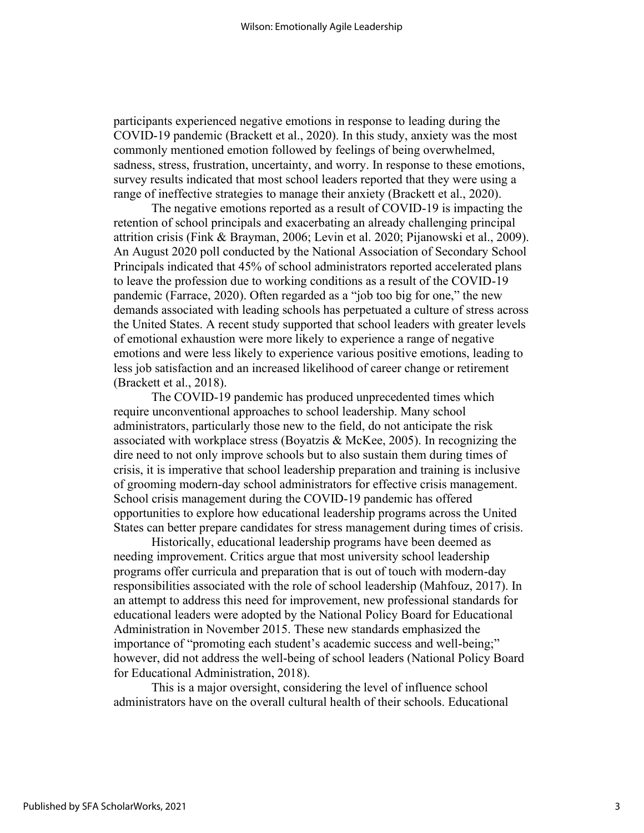participants experienced negative emotions in response to leading during the COVID-19 pandemic (Brackett et al., 2020). In this study, anxiety was the most commonly mentioned emotion followed by feelings of being overwhelmed, sadness, stress, frustration, uncertainty, and worry. In response to these emotions, survey results indicated that most school leaders reported that they were using a range of ineffective strategies to manage their anxiety (Brackett et al., 2020).

The negative emotions reported as a result of COVID-19 is impacting the retention of school principals and exacerbating an already challenging principal attrition crisis (Fink & Brayman, 2006; Levin et al. 2020; Pijanowski et al., 2009). An August 2020 poll conducted by the National Association of Secondary School Principals indicated that 45% of school administrators reported accelerated plans to leave the profession due to working conditions as a result of the COVID-19 pandemic (Farrace, 2020). Often regarded as a "job too big for one," the new demands associated with leading schools has perpetuated a culture of stress across the United States. A recent study supported that school leaders with greater levels of emotional exhaustion were more likely to experience a range of negative emotions and were less likely to experience various positive emotions, leading to less job satisfaction and an increased likelihood of career change or retirement (Brackett et al., 2018).

The COVID-19 pandemic has produced unprecedented times which require unconventional approaches to school leadership. Many school administrators, particularly those new to the field, do not anticipate the risk associated with workplace stress (Boyatzis & McKee, 2005). In recognizing the dire need to not only improve schools but to also sustain them during times of crisis, it is imperative that school leadership preparation and training is inclusive of grooming modern-day school administrators for effective crisis management. School crisis management during the COVID-19 pandemic has offered opportunities to explore how educational leadership programs across the United States can better prepare candidates for stress management during times of crisis.

Historically, educational leadership programs have been deemed as needing improvement. Critics argue that most university school leadership programs offer curricula and preparation that is out of touch with modern-day responsibilities associated with the role of school leadership (Mahfouz, 2017). In an attempt to address this need for improvement, new professional standards for educational leaders were adopted by the National Policy Board for Educational Administration in November 2015. These new standards emphasized the importance of "promoting each student's academic success and well-being;" however, did not address the well-being of school leaders (National Policy Board for Educational Administration, 2018).

This is a major oversight, considering the level of influence school administrators have on the overall cultural health of their schools. Educational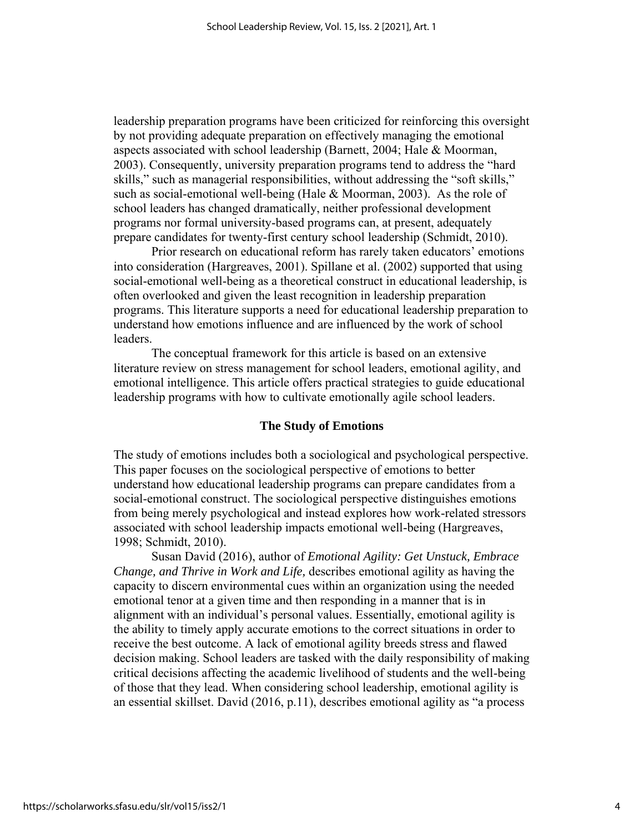leadership preparation programs have been criticized for reinforcing this oversight by not providing adequate preparation on effectively managing the emotional aspects associated with school leadership (Barnett, 2004; Hale & Moorman, 2003). Consequently, university preparation programs tend to address the "hard skills," such as managerial responsibilities, without addressing the "soft skills," such as social-emotional well-being (Hale  $&$  Moorman, 2003). As the role of school leaders has changed dramatically, neither professional development programs nor formal university-based programs can, at present, adequately prepare candidates for twenty-first century school leadership (Schmidt, 2010).

Prior research on educational reform has rarely taken educators' emotions into consideration (Hargreaves, 2001). Spillane et al. (2002) supported that using social-emotional well-being as a theoretical construct in educational leadership, is often overlooked and given the least recognition in leadership preparation programs. This literature supports a need for educational leadership preparation to understand how emotions influence and are influenced by the work of school leaders.

The conceptual framework for this article is based on an extensive literature review on stress management for school leaders, emotional agility, and emotional intelligence. This article offers practical strategies to guide educational leadership programs with how to cultivate emotionally agile school leaders.

#### **The Study of Emotions**

The study of emotions includes both a sociological and psychological perspective. This paper focuses on the sociological perspective of emotions to better understand how educational leadership programs can prepare candidates from a social-emotional construct. The sociological perspective distinguishes emotions from being merely psychological and instead explores how work-related stressors associated with school leadership impacts emotional well-being (Hargreaves, 1998; Schmidt, 2010).

Susan David (2016), author of *Emotional Agility: Get Unstuck, Embrace Change, and Thrive in Work and Life,* describes emotional agility as having the capacity to discern environmental cues within an organization using the needed emotional tenor at a given time and then responding in a manner that is in alignment with an individual's personal values. Essentially, emotional agility is the ability to timely apply accurate emotions to the correct situations in order to receive the best outcome. A lack of emotional agility breeds stress and flawed decision making. School leaders are tasked with the daily responsibility of making critical decisions affecting the academic livelihood of students and the well-being of those that they lead. When considering school leadership, emotional agility is an essential skillset. David (2016, p.11), describes emotional agility as "a process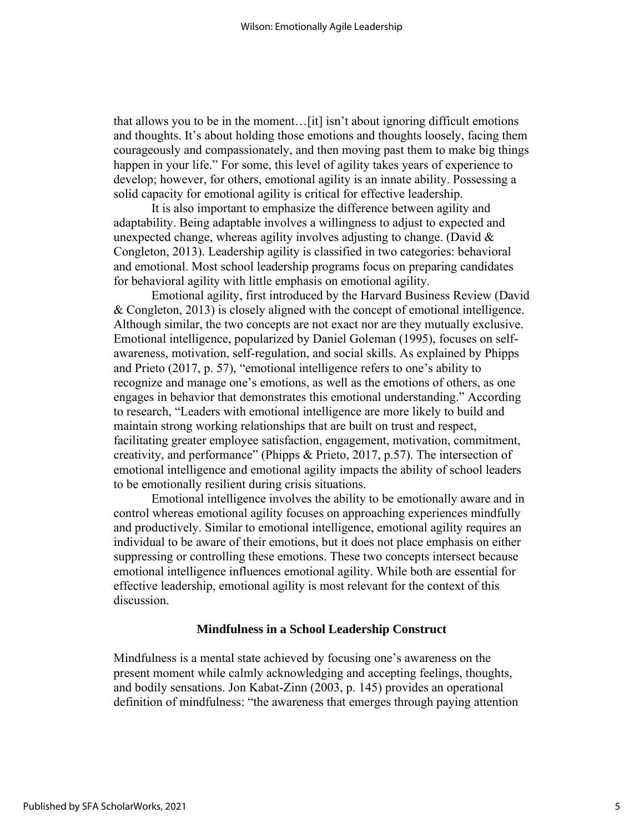that allows you to be in the moment…[it] isn't about ignoring difficult emotions and thoughts. It's about holding those emotions and thoughts loosely, facing them courageously and compassionately, and then moving past them to make big things happen in your life." For some, this level of agility takes years of experience to develop; however, for others, emotional agility is an innate ability. Possessing a solid capacity for emotional agility is critical for effective leadership.

It is also important to emphasize the difference between agility and adaptability. Being adaptable involves a willingness to adjust to expected and unexpected change, whereas agility involves adjusting to change. (David  $\&$ Congleton, 2013). Leadership agility is classified in two categories: behavioral and emotional. Most school leadership programs focus on preparing candidates for behavioral agility with little emphasis on emotional agility.

Emotional agility, first introduced by the Harvard Business Review (David & Congleton, 2013) is closely aligned with the concept of emotional intelligence. Although similar, the two concepts are not exact nor are they mutually exclusive. Emotional intelligence, popularized by Daniel Goleman (1995), focuses on selfawareness, motivation, self-regulation, and social skills. As explained by Phipps and Prieto (2017, p. 57), "emotional intelligence refers to one's ability to recognize and manage one's emotions, as well as the emotions of others, as one engages in behavior that demonstrates this emotional understanding." According to research, "Leaders with emotional intelligence are more likely to build and maintain strong working relationships that are built on trust and respect, facilitating greater employee satisfaction, engagement, motivation, commitment, creativity, and performance" (Phipps & Prieto, 2017, p.57). The intersection of emotional intelligence and emotional agility impacts the ability of school leaders to be emotionally resilient during crisis situations.

Emotional intelligence involves the ability to be emotionally aware and in control whereas emotional agility focuses on approaching experiences mindfully and productively. Similar to emotional intelligence, emotional agility requires an individual to be aware of their emotions, but it does not place emphasis on either suppressing or controlling these emotions. These two concepts intersect because emotional intelligence influences emotional agility. While both are essential for effective leadership, emotional agility is most relevant for the context of this discussion.

#### **Mindfulness in a School Leadership Construct**

Mindfulness is a mental state achieved by focusing one's awareness on the present moment while calmly acknowledging and accepting feelings, thoughts, and bodily sensations. Jon Kabat-Zinn (2003, p. 145) provides an operational definition of mindfulness: "the awareness that emerges through paying attention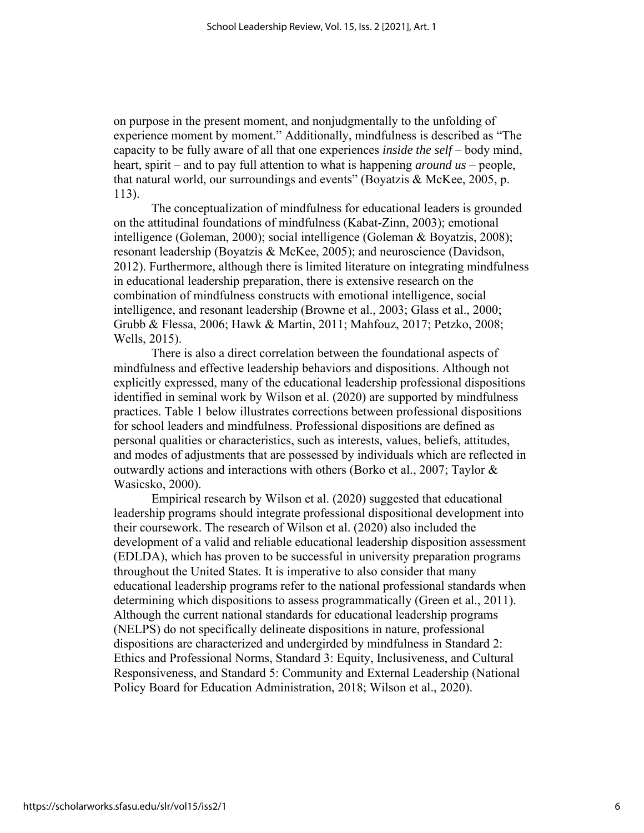on purpose in the present moment, and nonjudgmentally to the unfolding of experience moment by moment." Additionally, mindfulness is described as "The capacity to be fully aware of all that one experiences *inside the self* – body mind, heart, spirit – and to pay full attention to what is happening *around us* – people, that natural world, our surroundings and events" (Boyatzis & McKee, 2005, p. 113).

The conceptualization of mindfulness for educational leaders is grounded on the attitudinal foundations of mindfulness (Kabat-Zinn, 2003); emotional intelligence (Goleman, 2000); social intelligence (Goleman & Boyatzis, 2008); resonant leadership (Boyatzis & McKee, 2005); and neuroscience (Davidson, 2012). Furthermore, although there is limited literature on integrating mindfulness in educational leadership preparation, there is extensive research on the combination of mindfulness constructs with emotional intelligence, social intelligence, and resonant leadership (Browne et al., 2003; Glass et al., 2000; Grubb & Flessa, 2006; Hawk & Martin, 2011; Mahfouz, 2017; Petzko, 2008; Wells, 2015).

There is also a direct correlation between the foundational aspects of mindfulness and effective leadership behaviors and dispositions. Although not explicitly expressed, many of the educational leadership professional dispositions identified in seminal work by Wilson et al. (2020) are supported by mindfulness practices. Table 1 below illustrates corrections between professional dispositions for school leaders and mindfulness. Professional dispositions are defined as personal qualities or characteristics, such as interests, values, beliefs, attitudes, and modes of adjustments that are possessed by individuals which are reflected in outwardly actions and interactions with others (Borko et al., 2007; Taylor & Wasicsko, 2000).

Empirical research by Wilson et al. (2020) suggested that educational leadership programs should integrate professional dispositional development into their coursework. The research of Wilson et al. (2020) also included the development of a valid and reliable educational leadership disposition assessment (EDLDA), which has proven to be successful in university preparation programs throughout the United States. It is imperative to also consider that many educational leadership programs refer to the national professional standards when determining which dispositions to assess programmatically (Green et al., 2011). Although the current national standards for educational leadership programs (NELPS) do not specifically delineate dispositions in nature, professional dispositions are characterized and undergirded by mindfulness in Standard 2: Ethics and Professional Norms, Standard 3: Equity, Inclusiveness, and Cultural Responsiveness, and Standard 5: Community and External Leadership (National Policy Board for Education Administration, 2018; Wilson et al., 2020).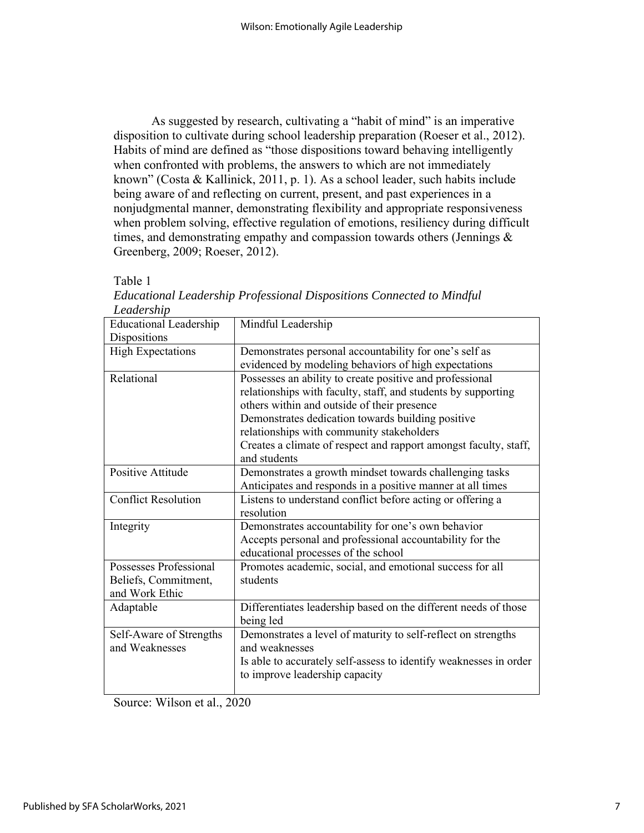As suggested by research, cultivating a "habit of mind" is an imperative disposition to cultivate during school leadership preparation (Roeser et al., 2012). Habits of mind are defined as "those dispositions toward behaving intelligently when confronted with problems, the answers to which are not immediately known" (Costa & Kallinick, 2011, p. 1). As a school leader, such habits include being aware of and reflecting on current, present, and past experiences in a nonjudgmental manner, demonstrating flexibility and appropriate responsiveness when problem solving, effective regulation of emotions, resiliency during difficult times, and demonstrating empathy and compassion towards others (Jennings  $\&$ Greenberg, 2009; Roeser, 2012).

Table 1

| Mindful Leadership                                                                                  |
|-----------------------------------------------------------------------------------------------------|
|                                                                                                     |
| Demonstrates personal accountability for one's self as                                              |
| evidenced by modeling behaviors of high expectations                                                |
| Possesses an ability to create positive and professional                                            |
| relationships with faculty, staff, and students by supporting                                       |
| others within and outside of their presence                                                         |
| Demonstrates dedication towards building positive                                                   |
| relationships with community stakeholders                                                           |
| Creates a climate of respect and rapport amongst faculty, staff,<br>and students                    |
| Demonstrates a growth mindset towards challenging tasks                                             |
| Anticipates and responds in a positive manner at all times                                          |
| Listens to understand conflict before acting or offering a<br>resolution                            |
| Demonstrates accountability for one's own behavior                                                  |
| Accepts personal and professional accountability for the<br>educational processes of the school     |
| Promotes academic, social, and emotional success for all                                            |
| students                                                                                            |
|                                                                                                     |
| Differentiates leadership based on the different needs of those                                     |
| being led                                                                                           |
| Demonstrates a level of maturity to self-reflect on strengths                                       |
| and weaknesses                                                                                      |
| Is able to accurately self-assess to identify weaknesses in order<br>to improve leadership capacity |
|                                                                                                     |

| Educational Leadership Professional Dispositions Connected to Mindful |  |  |
|-----------------------------------------------------------------------|--|--|
| Leadership                                                            |  |  |

Source: Wilson et al., 2020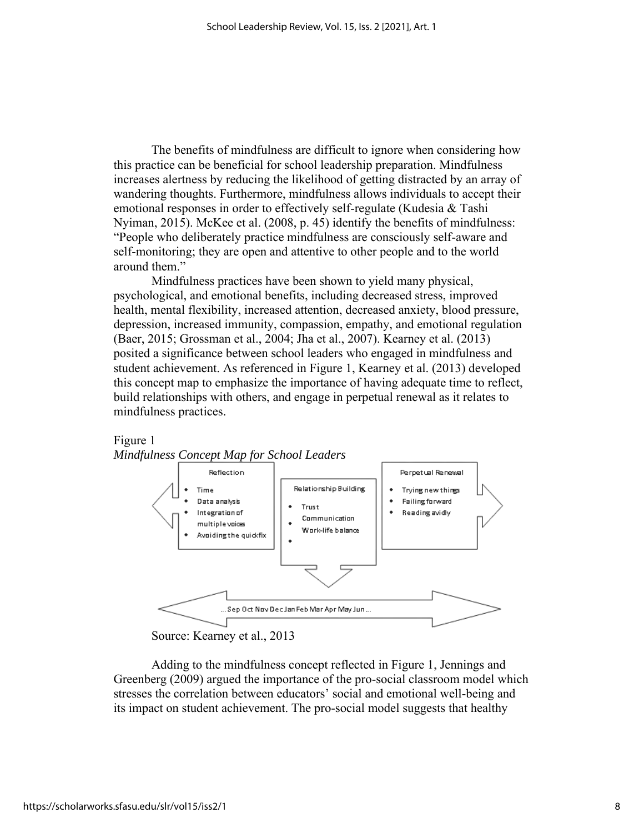The benefits of mindfulness are difficult to ignore when considering how this practice can be beneficial for school leadership preparation. Mindfulness increases alertness by reducing the likelihood of getting distracted by an array of wandering thoughts. Furthermore, mindfulness allows individuals to accept their emotional responses in order to effectively self-regulate (Kudesia & Tashi Nyiman, 2015). McKee et al. (2008, p. 45) identify the benefits of mindfulness: "People who deliberately practice mindfulness are consciously self-aware and self-monitoring; they are open and attentive to other people and to the world around them."

Mindfulness practices have been shown to yield many physical, psychological, and emotional benefits, including decreased stress, improved health, mental flexibility, increased attention, decreased anxiety, blood pressure, depression, increased immunity, compassion, empathy, and emotional regulation (Baer, 2015; Grossman et al., 2004; Jha et al., 2007). Kearney et al. (2013) posited a significance between school leaders who engaged in mindfulness and student achievement. As referenced in Figure 1, Kearney et al. (2013) developed this concept map to emphasize the importance of having adequate time to reflect, build relationships with others, and engage in perpetual renewal as it relates to mindfulness practices.



Source: Kearney et al., 2013

Adding to the mindfulness concept reflected in Figure 1, Jennings and Greenberg (2009) argued the importance of the pro-social classroom model which stresses the correlation between educators' social and emotional well-being and its impact on student achievement. The pro-social model suggests that healthy

Figure 1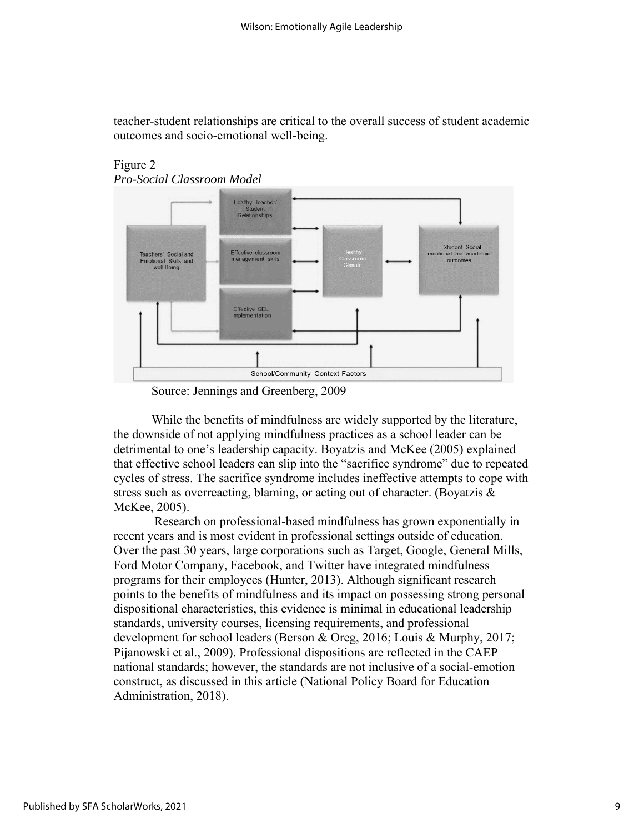teacher-student relationships are critical to the overall success of student academic outcomes and socio-emotional well-being.



### Figure 2 *Pro-Social Classroom Model*

Source: Jennings and Greenberg, 2009

While the benefits of mindfulness are widely supported by the literature, the downside of not applying mindfulness practices as a school leader can be detrimental to one's leadership capacity. Boyatzis and McKee (2005) explained that effective school leaders can slip into the "sacrifice syndrome" due to repeated cycles of stress. The sacrifice syndrome includes ineffective attempts to cope with stress such as overreacting, blaming, or acting out of character. (Boyatzis & McKee, 2005).

Research on professional-based mindfulness has grown exponentially in recent years and is most evident in professional settings outside of education. Over the past 30 years, large corporations such as Target, Google, General Mills, Ford Motor Company, Facebook, and Twitter have integrated mindfulness programs for their employees (Hunter, 2013). Although significant research points to the benefits of mindfulness and its impact on possessing strong personal dispositional characteristics, this evidence is minimal in educational leadership standards, university courses, licensing requirements, and professional development for school leaders (Berson & Oreg, 2016; Louis & Murphy, 2017; Pijanowski et al., 2009). Professional dispositions are reflected in the CAEP national standards; however, the standards are not inclusive of a social-emotion construct, as discussed in this article (National Policy Board for Education Administration, 2018).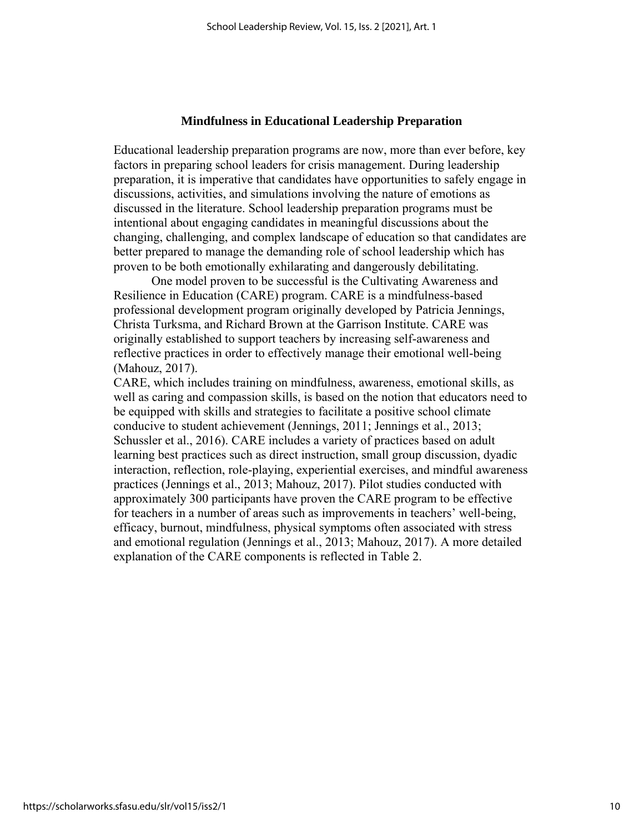#### **Mindfulness in Educational Leadership Preparation**

Educational leadership preparation programs are now, more than ever before, key factors in preparing school leaders for crisis management. During leadership preparation, it is imperative that candidates have opportunities to safely engage in discussions, activities, and simulations involving the nature of emotions as discussed in the literature. School leadership preparation programs must be intentional about engaging candidates in meaningful discussions about the changing, challenging, and complex landscape of education so that candidates are better prepared to manage the demanding role of school leadership which has proven to be both emotionally exhilarating and dangerously debilitating.

One model proven to be successful is the Cultivating Awareness and Resilience in Education (CARE) program. CARE is a mindfulness-based professional development program originally developed by Patricia Jennings, Christa Turksma, and Richard Brown at the Garrison Institute. CARE was originally established to support teachers by increasing self-awareness and reflective practices in order to effectively manage their emotional well-being (Mahouz, 2017).

CARE, which includes training on mindfulness, awareness, emotional skills, as well as caring and compassion skills, is based on the notion that educators need to be equipped with skills and strategies to facilitate a positive school climate conducive to student achievement (Jennings, 2011; Jennings et al., 2013; Schussler et al., 2016). CARE includes a variety of practices based on adult learning best practices such as direct instruction, small group discussion, dyadic interaction, reflection, role-playing, experiential exercises, and mindful awareness practices (Jennings et al., 2013; Mahouz, 2017). Pilot studies conducted with approximately 300 participants have proven the CARE program to be effective for teachers in a number of areas such as improvements in teachers' well-being, efficacy, burnout, mindfulness, physical symptoms often associated with stress and emotional regulation (Jennings et al., 2013; Mahouz, 2017). A more detailed explanation of the CARE components is reflected in Table 2.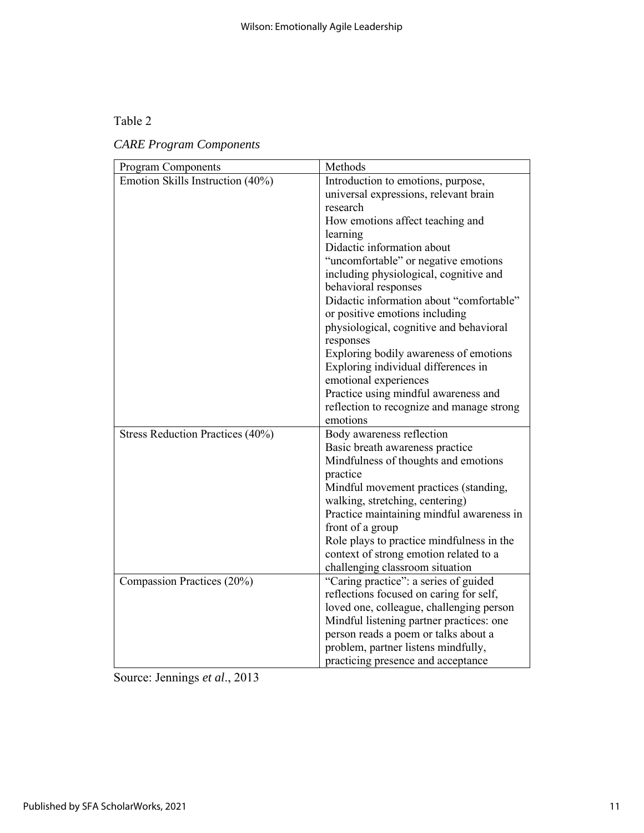## Table 2

# *CARE Program Components*

| Program Components               | Methods                                   |
|----------------------------------|-------------------------------------------|
| Emotion Skills Instruction (40%) | Introduction to emotions, purpose,        |
|                                  | universal expressions, relevant brain     |
|                                  | research                                  |
|                                  | How emotions affect teaching and          |
|                                  | learning                                  |
|                                  | Didactic information about                |
|                                  | "uncomfortable" or negative emotions      |
|                                  | including physiological, cognitive and    |
|                                  | behavioral responses                      |
|                                  | Didactic information about "comfortable"  |
|                                  | or positive emotions including            |
|                                  | physiological, cognitive and behavioral   |
|                                  | responses                                 |
|                                  | Exploring bodily awareness of emotions    |
|                                  | Exploring individual differences in       |
|                                  | emotional experiences                     |
|                                  | Practice using mindful awareness and      |
|                                  | reflection to recognize and manage strong |
|                                  | emotions                                  |
| Stress Reduction Practices (40%) | Body awareness reflection                 |
|                                  | Basic breath awareness practice           |
|                                  | Mindfulness of thoughts and emotions      |
|                                  | practice                                  |
|                                  | Mindful movement practices (standing,     |
|                                  | walking, stretching, centering)           |
|                                  | Practice maintaining mindful awareness in |
|                                  | front of a group                          |
|                                  | Role plays to practice mindfulness in the |
|                                  | context of strong emotion related to a    |
|                                  | challenging classroom situation           |
| Compassion Practices (20%)       | "Caring practice": a series of guided     |
|                                  | reflections focused on caring for self,   |
|                                  | loved one, colleague, challenging person  |
|                                  | Mindful listening partner practices: one  |
|                                  | person reads a poem or talks about a      |
|                                  | problem, partner listens mindfully,       |
|                                  | practicing presence and acceptance        |

Source: Jennings *et al*., 2013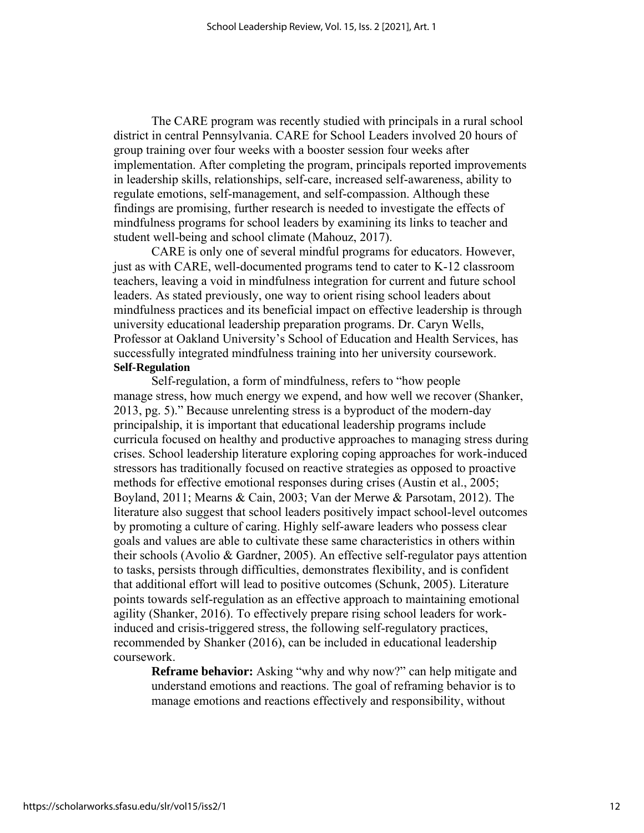The CARE program was recently studied with principals in a rural school district in central Pennsylvania. CARE for School Leaders involved 20 hours of group training over four weeks with a booster session four weeks after implementation. After completing the program, principals reported improvements in leadership skills, relationships, self-care, increased self-awareness, ability to regulate emotions, self-management, and self-compassion. Although these findings are promising, further research is needed to investigate the effects of mindfulness programs for school leaders by examining its links to teacher and student well-being and school climate (Mahouz, 2017).

CARE is only one of several mindful programs for educators. However, just as with CARE, well-documented programs tend to cater to K-12 classroom teachers, leaving a void in mindfulness integration for current and future school leaders. As stated previously, one way to orient rising school leaders about mindfulness practices and its beneficial impact on effective leadership is through university educational leadership preparation programs. Dr. Caryn Wells, Professor at Oakland University's School of Education and Health Services, has successfully integrated mindfulness training into her university coursework. **Self-Regulation** 

Self-regulation, a form of mindfulness, refers to "how people manage stress, how much energy we expend, and how well we recover (Shanker, 2013, pg. 5)." Because unrelenting stress is a byproduct of the modern-day principalship, it is important that educational leadership programs include curricula focused on healthy and productive approaches to managing stress during crises. School leadership literature exploring coping approaches for work-induced stressors has traditionally focused on reactive strategies as opposed to proactive methods for effective emotional responses during crises (Austin et al., 2005; Boyland, 2011; Mearns & Cain, 2003; Van der Merwe & Parsotam, 2012). The literature also suggest that school leaders positively impact school-level outcomes by promoting a culture of caring. Highly self-aware leaders who possess clear goals and values are able to cultivate these same characteristics in others within their schools (Avolio & Gardner, 2005). An effective self-regulator pays attention to tasks, persists through difficulties, demonstrates flexibility, and is confident that additional effort will lead to positive outcomes (Schunk, 2005). Literature points towards self-regulation as an effective approach to maintaining emotional agility (Shanker, 2016). To effectively prepare rising school leaders for workinduced and crisis-triggered stress, the following self-regulatory practices, recommended by Shanker (2016), can be included in educational leadership coursework.

**Reframe behavior:** Asking "why and why now?" can help mitigate and understand emotions and reactions. The goal of reframing behavior is to manage emotions and reactions effectively and responsibility, without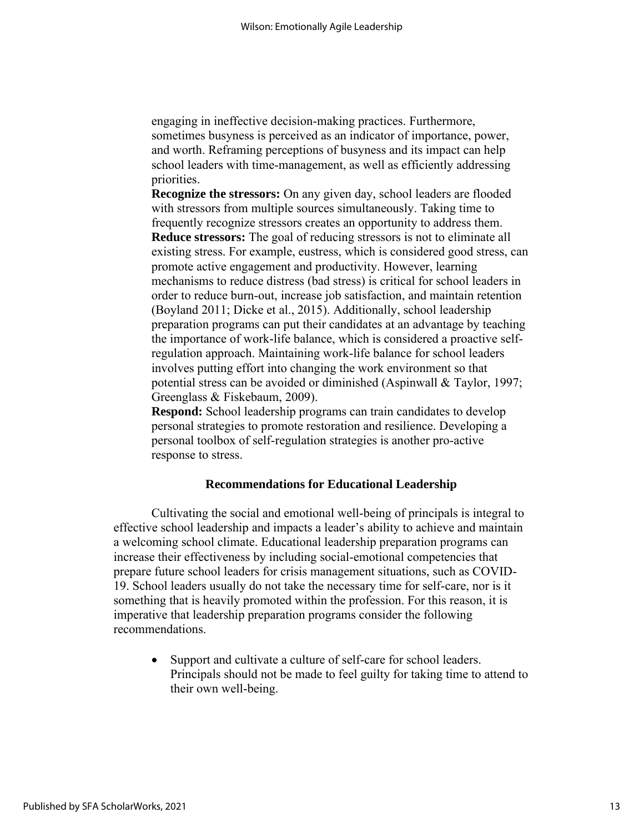engaging in ineffective decision-making practices. Furthermore, sometimes busyness is perceived as an indicator of importance, power, and worth. Reframing perceptions of busyness and its impact can help school leaders with time-management, as well as efficiently addressing priorities.

**Recognize the stressors:** On any given day, school leaders are flooded with stressors from multiple sources simultaneously. Taking time to frequently recognize stressors creates an opportunity to address them. **Reduce stressors:** The goal of reducing stressors is not to eliminate all existing stress. For example, eustress, which is considered good stress, can promote active engagement and productivity. However, learning mechanisms to reduce distress (bad stress) is critical for school leaders in order to reduce burn-out, increase job satisfaction, and maintain retention (Boyland 2011; Dicke et al., 2015). Additionally, school leadership preparation programs can put their candidates at an advantage by teaching the importance of work-life balance, which is considered a proactive selfregulation approach. Maintaining work-life balance for school leaders involves putting effort into changing the work environment so that potential stress can be avoided or diminished (Aspinwall & Taylor, 1997; Greenglass & Fiskebaum, 2009).

**Respond:** School leadership programs can train candidates to develop personal strategies to promote restoration and resilience. Developing a personal toolbox of self-regulation strategies is another pro-active response to stress.

#### **Recommendations for Educational Leadership**

Cultivating the social and emotional well-being of principals is integral to effective school leadership and impacts a leader's ability to achieve and maintain a welcoming school climate. Educational leadership preparation programs can increase their effectiveness by including social-emotional competencies that prepare future school leaders for crisis management situations, such as COVID-19. School leaders usually do not take the necessary time for self-care, nor is it something that is heavily promoted within the profession. For this reason, it is imperative that leadership preparation programs consider the following recommendations.

• Support and cultivate a culture of self-care for school leaders. Principals should not be made to feel guilty for taking time to attend to their own well-being.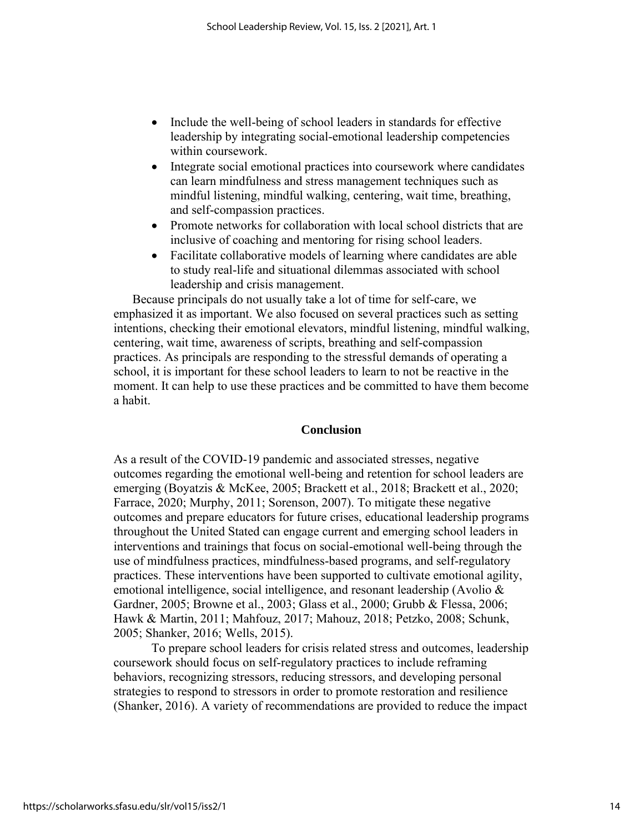- Include the well-being of school leaders in standards for effective leadership by integrating social-emotional leadership competencies within coursework.
- Integrate social emotional practices into coursework where candidates can learn mindfulness and stress management techniques such as mindful listening, mindful walking, centering, wait time, breathing, and self-compassion practices.
- Promote networks for collaboration with local school districts that are inclusive of coaching and mentoring for rising school leaders.
- Facilitate collaborative models of learning where candidates are able to study real-life and situational dilemmas associated with school leadership and crisis management.

Because principals do not usually take a lot of time for self-care, we emphasized it as important. We also focused on several practices such as setting intentions, checking their emotional elevators, mindful listening, mindful walking, centering, wait time, awareness of scripts, breathing and self-compassion practices. As principals are responding to the stressful demands of operating a school, it is important for these school leaders to learn to not be reactive in the moment. It can help to use these practices and be committed to have them become a habit.

## **Conclusion**

As a result of the COVID-19 pandemic and associated stresses, negative outcomes regarding the emotional well-being and retention for school leaders are emerging (Boyatzis & McKee, 2005; Brackett et al., 2018; Brackett et al., 2020; Farrace, 2020; Murphy, 2011; Sorenson, 2007). To mitigate these negative outcomes and prepare educators for future crises, educational leadership programs throughout the United Stated can engage current and emerging school leaders in interventions and trainings that focus on social-emotional well-being through the use of mindfulness practices, mindfulness-based programs, and self-regulatory practices. These interventions have been supported to cultivate emotional agility, emotional intelligence, social intelligence, and resonant leadership (Avolio & Gardner, 2005; Browne et al., 2003; Glass et al., 2000; Grubb & Flessa, 2006; Hawk & Martin, 2011; Mahfouz, 2017; Mahouz, 2018; Petzko, 2008; Schunk, 2005; Shanker, 2016; Wells, 2015).

To prepare school leaders for crisis related stress and outcomes, leadership coursework should focus on self-regulatory practices to include reframing behaviors, recognizing stressors, reducing stressors, and developing personal strategies to respond to stressors in order to promote restoration and resilience (Shanker, 2016). A variety of recommendations are provided to reduce the impact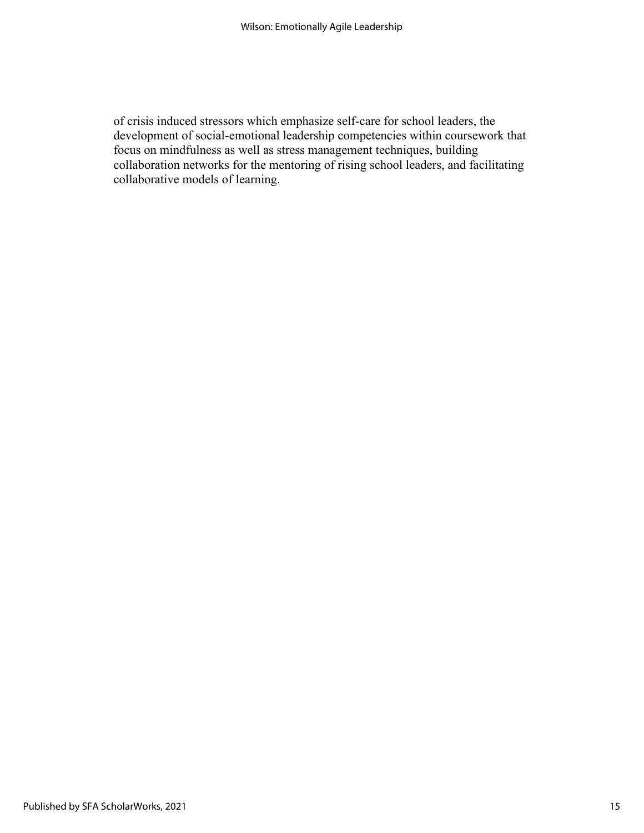of crisis induced stressors which emphasize self-care for school leaders, the development of social-emotional leadership competencies within coursework that focus on mindfulness as well as stress management techniques, building collaboration networks for the mentoring of rising school leaders, and facilitating collaborative models of learning.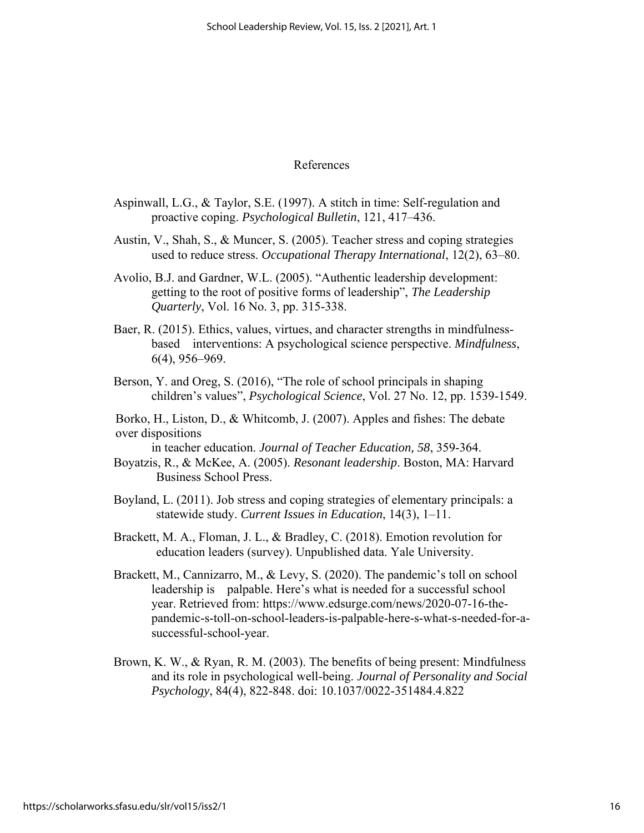## References

- Aspinwall, L.G., & Taylor, S.E. (1997). A stitch in time: Self-regulation and proactive coping. *Psychological Bulletin*, 121, 417–436.
- Austin, V., Shah, S., & Muncer, S. (2005). Teacher stress and coping strategies used to reduce stress. *Occupational Therapy International*, 12(2), 63–80.
- Avolio, B.J. and Gardner, W.L. (2005). "Authentic leadership development: getting to the root of positive forms of leadership", *The Leadership Quarterly*, Vol. 16 No. 3, pp. 315-338.
- Baer, R. (2015). Ethics, values, virtues, and character strengths in mindfulnessbased interventions: A psychological science perspective. *Mindfulness*, 6(4), 956–969.
- Berson, Y. and Oreg, S. (2016), "The role of school principals in shaping children's values", *Psychological Science*, Vol. 27 No. 12, pp. 1539-1549.
- Borko, H., Liston, D., & Whitcomb, J. (2007). Apples and fishes: The debate over dispositions
- in teacher education. *Journal of Teacher Education, 58*, 359-364.
- Boyatzis, R., & McKee, A. (2005). *Resonant leadership*. Boston, MA: Harvard Business School Press.
- Boyland, L. (2011). Job stress and coping strategies of elementary principals: a statewide study. *Current Issues in Education*, 14(3), 1–11.
- Brackett, M. A., Floman, J. L., & Bradley, C. (2018). Emotion revolution for education leaders (survey). Unpublished data. Yale University.
- Brackett, M., Cannizarro, M., & Levy, S. (2020). The pandemic's toll on school leadership is palpable. Here's what is needed for a successful school year. Retrieved from: https://www.edsurge.com/news/2020-07-16-thepandemic-s-toll-on-school-leaders-is-palpable-here-s-what-s-needed-for-asuccessful-school-year.
- Brown, K. W., & Ryan, R. M. (2003). The benefits of being present: Mindfulness and its role in psychological well-being. *Journal of Personality and Social Psychology*, 84(4), 822-848. doi: 10.1037/0022-351484.4.822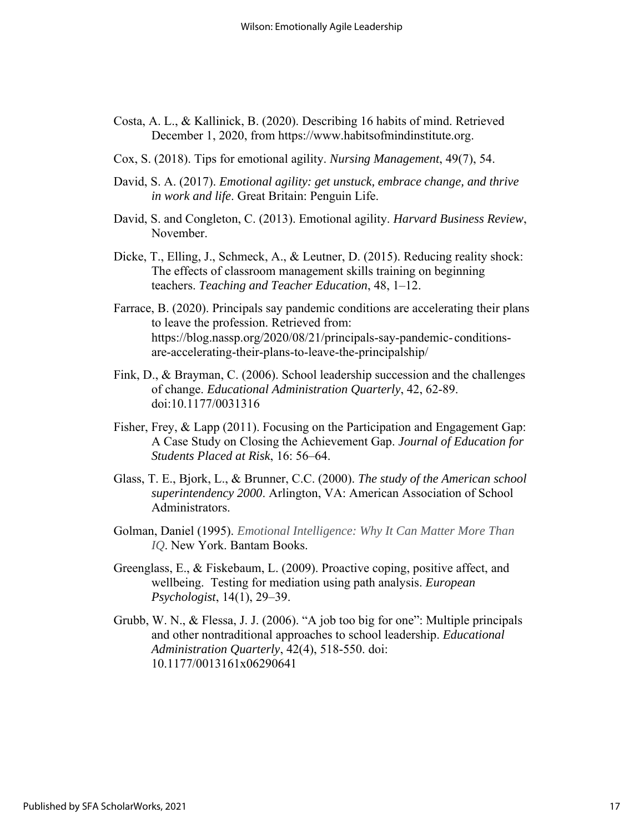- Costa, A. L., & Kallinick, B. (2020). Describing 16 habits of mind. Retrieved December 1, 2020, from https://www.habitsofmindinstitute.org.
- Cox, S. (2018). Tips for emotional agility. *Nursing Management*, 49(7), 54.
- David, S. A. (2017). *Emotional agility: get unstuck, embrace change, and thrive in work and life*. Great Britain: Penguin Life.
- David, S. and Congleton, C. (2013). Emotional agility. *Harvard Business Review*, November.
- Dicke, T., Elling, J., Schmeck, A., & Leutner, D. (2015). Reducing reality shock: The effects of classroom management skills training on beginning teachers. *Teaching and Teacher Education*, 48, 1–12.
- Farrace, B. (2020). Principals say pandemic conditions are accelerating their plans to leave the profession. Retrieved from: https://blog.nassp.org/2020/08/21/principals-say-pandemic- conditionsare-accelerating-their-plans-to-leave-the-principalship/
- Fink, D., & Brayman, C. (2006). School leadership succession and the challenges of change. *Educational Administration Quarterly*, 42, 62-89. doi:10.1177/0031316
- Fisher, Frey, & Lapp (2011). Focusing on the Participation and Engagement Gap: A Case Study on Closing the Achievement Gap. *Journal of Education for Students Placed at Risk*, 16: 56–64.
- Glass, T. E., Bjork, L., & Brunner, C.C. (2000). *The study of the American school superintendency 2000*. Arlington, VA: American Association of School Administrators.
- Golman, Daniel (1995). *Emotional Intelligence: Why It Can Matter More Than IQ*. New York. Bantam Books.
- Greenglass, E., & Fiskebaum, L. (2009). Proactive coping, positive affect, and wellbeing. Testing for mediation using path analysis. *European Psychologist*, 14(1), 29–39.
- Grubb, W. N., & Flessa, J. J. (2006). "A job too big for one": Multiple principals and other nontraditional approaches to school leadership. *Educational Administration Quarterly*, 42(4), 518-550. doi: 10.1177/0013161x06290641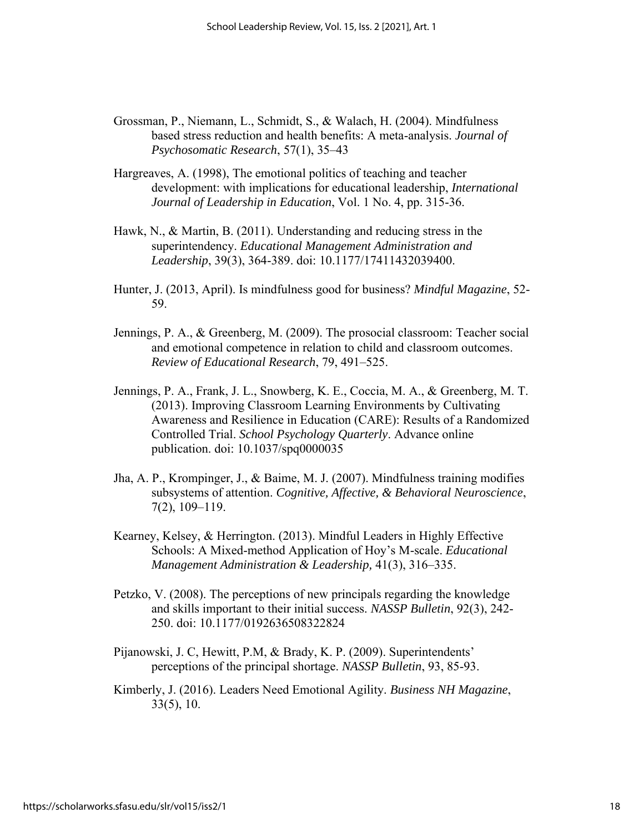- Grossman, P., Niemann, L., Schmidt, S., & Walach, H. (2004). Mindfulness based stress reduction and health benefits: A meta-analysis. *Journal of Psychosomatic Research*, 57(1), 35–43
- Hargreaves, A. (1998), The emotional politics of teaching and teacher development: with implications for educational leadership, *International Journal of Leadership in Education*, Vol. 1 No. 4, pp. 315-36.
- Hawk, N., & Martin, B. (2011). Understanding and reducing stress in the superintendency. *Educational Management Administration and Leadership*, 39(3), 364-389. doi: 10.1177/17411432039400.
- Hunter, J. (2013, April). Is mindfulness good for business? *Mindful Magazine*, 52- 59.
- Jennings, P. A., & Greenberg, M. (2009). The prosocial classroom: Teacher social and emotional competence in relation to child and classroom outcomes. *Review of Educational Research*, 79, 491–525.
- Jennings, P. A., Frank, J. L., Snowberg, K. E., Coccia, M. A., & Greenberg, M. T. (2013). Improving Classroom Learning Environments by Cultivating Awareness and Resilience in Education (CARE): Results of a Randomized Controlled Trial. *School Psychology Quarterly*. Advance online publication. doi: 10.1037/spq0000035
- Jha, A. P., Krompinger, J., & Baime, M. J. (2007). Mindfulness training modifies subsystems of attention. *Cognitive, Affective, & Behavioral Neuroscience*, 7(2), 109–119.
- Kearney, Kelsey, & Herrington. (2013). Mindful Leaders in Highly Effective Schools: A Mixed-method Application of Hoy's M-scale. *Educational Management Administration & Leadership,* 41(3), 316–335.
- Petzko, V. (2008). The perceptions of new principals regarding the knowledge and skills important to their initial success. *NASSP Bulletin*, 92(3), 242- 250. doi: 10.1177/0192636508322824
- Pijanowski, J. C, Hewitt, P.M, & Brady, K. P. (2009). Superintendents' perceptions of the principal shortage. *NASSP Bulletin*, 93, 85-93.
- Kimberly, J. (2016). Leaders Need Emotional Agility. *Business NH Magazine*, 33(5), 10.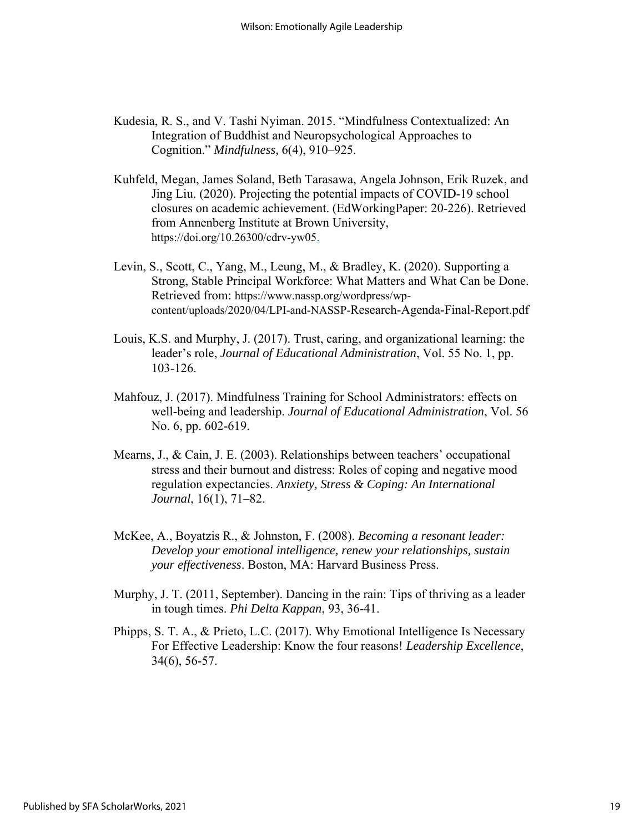- Kudesia, R. S., and V. Tashi Nyiman. 2015. "Mindfulness Contextualized: An Integration of Buddhist and Neuropsychological Approaches to Cognition." *Mindfulness,* 6(4), 910–925.
- Kuhfeld, Megan, James Soland, Beth Tarasawa, Angela Johnson, Erik Ruzek, and Jing Liu. (2020). Projecting the potential impacts of COVID-19 school closures on academic achievement. (EdWorkingPaper: 20-226). Retrieved from Annenberg Institute at Brown University, https://doi.org/10.26300/cdrv-yw05.
- Levin, S., Scott, C., Yang, M., Leung, M., & Bradley, K. (2020). Supporting a Strong, Stable Principal Workforce: What Matters and What Can be Done. Retrieved from: https://www.nassp.org/wordpress/wpcontent/uploads/2020/04/LPI-and-NASSP-Research-Agenda-Final-Report.pdf
- Louis, K.S. and Murphy, J. (2017). Trust, caring, and organizational learning: the leader's role, *Journal of Educational Administration*, Vol. 55 No. 1, pp. 103-126.
- Mahfouz, J. (2017). Mindfulness Training for School Administrators: effects on well-being and leadership. *Journal of Educational Administration*, Vol. 56 No. 6, pp. 602-619.
- Mearns, J., & Cain, J. E. (2003). Relationships between teachers' occupational stress and their burnout and distress: Roles of coping and negative mood regulation expectancies. *Anxiety, Stress & Coping: An International Journal*, 16(1), 71–82.
- McKee, A., Boyatzis R., & Johnston, F. (2008). *Becoming a resonant leader: Develop your emotional intelligence, renew your relationships, sustain your effectiveness*. Boston, MA: Harvard Business Press.
- Murphy, J. T. (2011, September). Dancing in the rain: Tips of thriving as a leader in tough times. *Phi Delta Kappan*, 93, 36-41.
- Phipps, S. T. A., & Prieto, L.C. (2017). Why Emotional Intelligence Is Necessary For Effective Leadership: Know the four reasons! *Leadership Excellence*, 34(6), 56-57.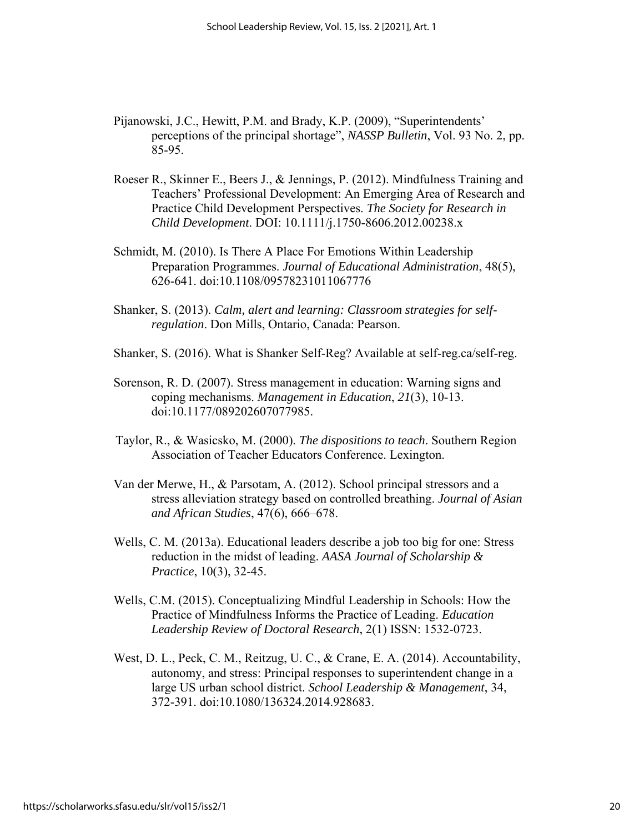- Pijanowski, J.C., Hewitt, P.M. and Brady, K.P. (2009), "Superintendents' perceptions of the principal shortage", *NASSP Bulletin*, Vol. 93 No. 2, pp. 85-95.
- Roeser R., Skinner E., Beers J., & Jennings, P. (2012). Mindfulness Training and Teachers' Professional Development: An Emerging Area of Research and Practice Child Development Perspectives. *The Society for Research in Child Development*. DOI: 10.1111/j.1750-8606.2012.00238.x
- Schmidt, M. (2010). Is There A Place For Emotions Within Leadership Preparation Programmes. *Journal of Educational Administration*, 48(5), 626-641. doi:10.1108/09578231011067776
- Shanker, S. (2013). *Calm, alert and learning: Classroom strategies for selfregulation*. Don Mills, Ontario, Canada: Pearson.
- Shanker, S. (2016). What is Shanker Self-Reg? Available at self-reg.ca/self-reg.
- Sorenson, R. D. (2007). Stress management in education: Warning signs and coping mechanisms. *Management in Education*, *21*(3), 10-13. doi:10.1177/089202607077985.
- Taylor, R., & Wasicsko, M. (2000). *The dispositions to teach*. Southern Region Association of Teacher Educators Conference. Lexington.
- Van der Merwe, H., & Parsotam, A. (2012). School principal stressors and a stress alleviation strategy based on controlled breathing. *Journal of Asian and African Studies*, 47(6), 666–678.
- Wells, C. M. (2013a). Educational leaders describe a job too big for one: Stress reduction in the midst of leading. *AASA Journal of Scholarship & Practice*, 10(3), 32-45.
- Wells, C.M. (2015). Conceptualizing Mindful Leadership in Schools: How the Practice of Mindfulness Informs the Practice of Leading. *Education Leadership Review of Doctoral Research*, 2(1) ISSN: 1532-0723.
- West, D. L., Peck, C. M., Reitzug, U. C., & Crane, E. A. (2014). Accountability, autonomy, and stress: Principal responses to superintendent change in a large US urban school district. *School Leadership & Management*, 34, 372-391. doi:10.1080/136324.2014.928683.